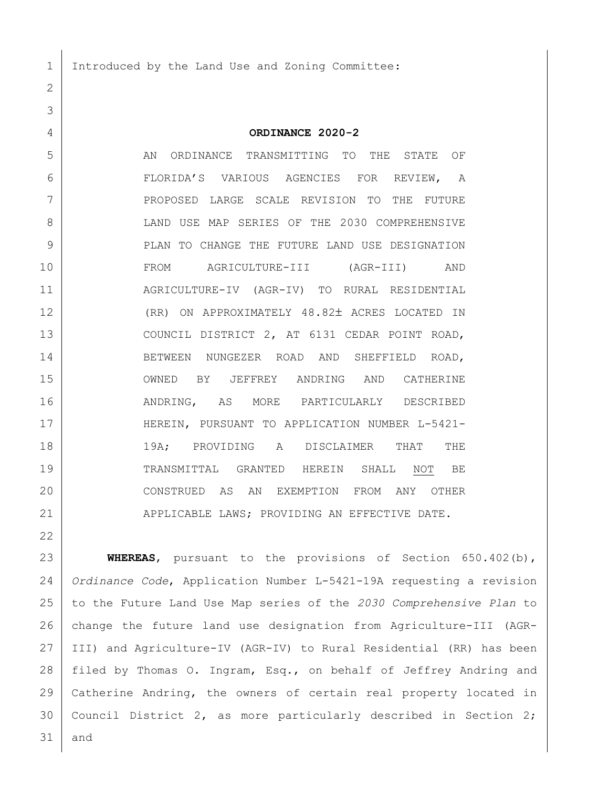Introduced by the Land Use and Zoning Committee:

 **ORDINANCE 2020-2** AN ORDINANCE TRANSMITTING TO THE STATE OF FLORIDA'S VARIOUS AGENCIES FOR REVIEW, A PROPOSED LARGE SCALE REVISION TO THE FUTURE 8 LAND USE MAP SERIES OF THE 2030 COMPREHENSIVE 9 | PLAN TO CHANGE THE FUTURE LAND USE DESIGNATION FROM AGRICULTURE-III (AGR-III) AND AGRICULTURE-IV (AGR-IV) TO RURAL RESIDENTIAL 12 (RR) ON APPROXIMATELY 48.82± ACRES LOCATED IN 13 COUNCIL DISTRICT 2, AT 6131 CEDAR POINT ROAD, 14 BETWEEN NUNGEZER ROAD AND SHEFFIELD ROAD, OWNED BY JEFFREY ANDRING AND CATHERINE ANDRING, AS MORE PARTICULARLY DESCRIBED 17 | HEREIN, PURSUANT TO APPLICATION NUMBER L-5421- 19A; PROVIDING A DISCLAIMER THAT THE TRANSMITTAL GRANTED HEREIN SHALL NOT BE CONSTRUED AS AN EXEMPTION FROM ANY OTHER 21 | APPLICABLE LAWS; PROVIDING AN EFFECTIVE DATE.

 **WHEREAS**, pursuant to the provisions of Section 650.402(b), *Ordinance Code*, Application Number L-5421-19A requesting a revision to the Future Land Use Map series of the *2030 Comprehensive Plan* to change the future land use designation from Agriculture-III (AGR- III) and Agriculture-IV (AGR-IV) to Rural Residential (RR) has been 28 | filed by Thomas O. Ingram, Esq., on behalf of Jeffrey Andring and Catherine Andring, the owners of certain real property located in Council District 2, as more particularly described in Section 2; and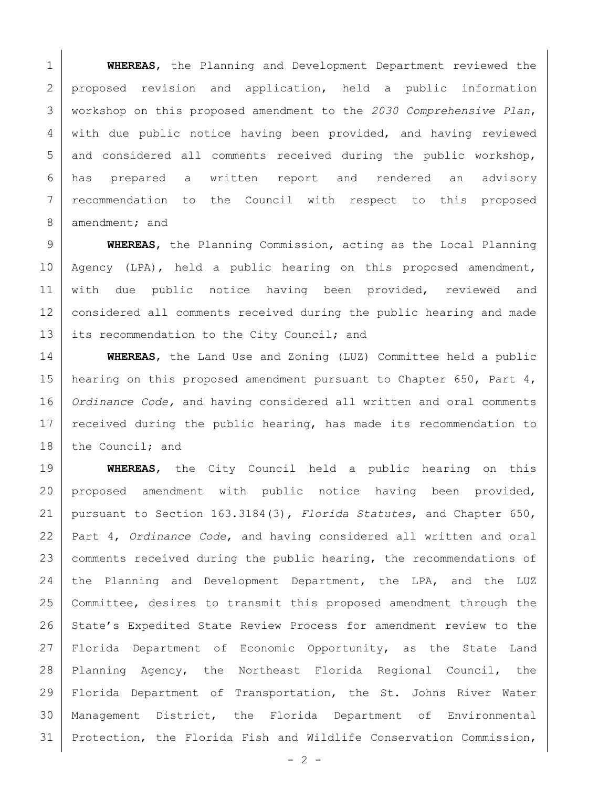**WHEREAS**, the Planning and Development Department reviewed the 2 proposed revision and application, held a public information workshop on this proposed amendment to the *2030 Comprehensive Plan*, with due public notice having been provided, and having reviewed 5 and considered all comments received during the public workshop, has prepared a written report and rendered an advisory 7 | recommendation to the Council with respect to this proposed 8 amendment; and

 **WHEREAS**, the Planning Commission, acting as the Local Planning Agency (LPA), held a public hearing on this proposed amendment, 11 with due public notice having been provided, reviewed and considered all comments received during the public hearing and made 13 its recommendation to the City Council; and

 **WHEREAS**, the Land Use and Zoning (LUZ) Committee held a public 15 | hearing on this proposed amendment pursuant to Chapter 650, Part 4, *Ordinance Code,* and having considered all written and oral comments 17 | received during the public hearing, has made its recommendation to 18 the Council; and

 **WHEREAS**, the City Council held a public hearing on this proposed amendment with public notice having been provided, pursuant to Section 163.3184(3), *Florida Statutes*, and Chapter 650, Part 4, *Ordinance Code*, and having considered all written and oral 23 comments received during the public hearing, the recommendations of the Planning and Development Department, the LPA, and the LUZ Committee, desires to transmit this proposed amendment through the 26 State's Expedited State Review Process for amendment review to the Florida Department of Economic Opportunity, as the State Land Planning Agency, the Northeast Florida Regional Council, the Florida Department of Transportation, the St. Johns River Water Management District, the Florida Department of Environmental Protection, the Florida Fish and Wildlife Conservation Commission,

 $-2 -$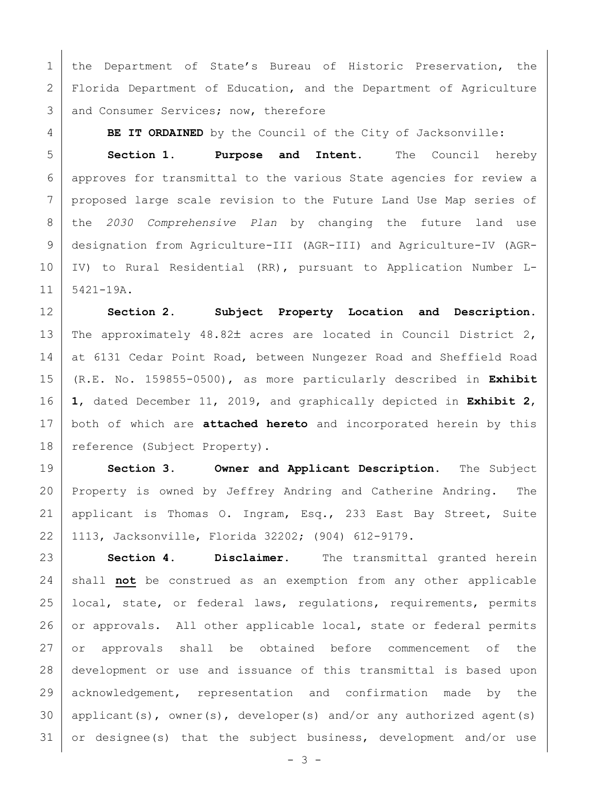1 | the Department of State's Bureau of Historic Preservation, the Florida Department of Education, and the Department of Agriculture 3 and Consumer Services; now, therefore

**BE IT ORDAINED** by the Council of the City of Jacksonville:

 **Section 1. Purpose and Intent.** The Council hereby approves for transmittal to the various State agencies for review a proposed large scale revision to the Future Land Use Map series of the *2030 Comprehensive Plan* by changing the future land use designation from Agriculture-III (AGR-III) and Agriculture-IV (AGR- IV) to Rural Residential (RR), pursuant to Application Number L-5421-19A.

 **Section 2. Subject Property Location and Description.** 13 The approximately 48.82± acres are located in Council District 2, 14 at 6131 Cedar Point Road, between Nungezer Road and Sheffield Road (R.E. No. 159855-0500), as more particularly described in **Exhibit 1**, dated December 11, 2019, and graphically depicted in **Exhibit 2**, both of which are **attached hereto** and incorporated herein by this 18 | reference (Subject Property).

 **Section 3. Owner and Applicant Description.** The Subject Property is owned by Jeffrey Andring and Catherine Andring. The applicant is Thomas O. Ingram, Esq., 233 East Bay Street, Suite 1113, Jacksonville, Florida 32202; (904) 612-9179.

 **Section 4. Disclaimer.** The transmittal granted herein shall **not** be construed as an exemption from any other applicable 25 | local, state, or federal laws, regulations, requirements, permits 26 or approvals. All other applicable local, state or federal permits or approvals shall be obtained before commencement of the development or use and issuance of this transmittal is based upon 29 acknowledgement, representation and confirmation made by the applicant(s), owner(s), developer(s) and/or any authorized agent(s) or designee(s) that the subject business, development and/or use

- 3 -